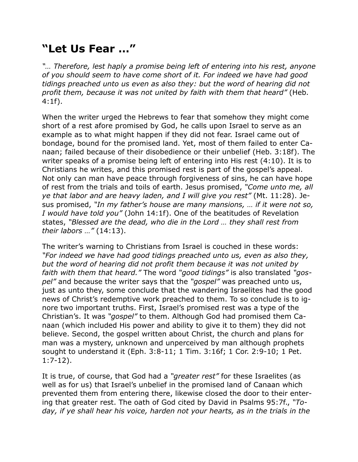## **"Let Us Fear …"**

*"… Therefore, lest haply a promise being left of entering into his rest, anyone of you should seem to have come short of it. For indeed we have had good tidings preached unto us even as also they: but the word of hearing did not profit them, because it was not united by faith with them that heard"* (Heb. 4:1f).

When the writer urged the Hebrews to fear that somehow they might come short of a rest afore promised by God, he calls upon Israel to serve as an example as to what might happen if they did not fear. Israel came out of bondage, bound for the promised land. Yet, most of them failed to enter Canaan; failed because of their disobedience or their unbelief (Heb. 3:18f). The writer speaks of a promise being left of entering into His rest (4:10). It is to Christians he writes, and this promised rest is part of the gospel's appeal. Not only can man have peace through forgiveness of sins, he can have hope of rest from the trials and toils of earth. Jesus promised, *"Come unto me, all ye that labor and are heavy laden, and I will give you rest"* (Mt. 11:28). Jesus promised, *"In my father's house are many mansions, … if it were not so, I would have told you"* (John 14:1f). One of the beatitudes of Revelation states, *"Blessed are the dead, who die in the Lord … they shall rest from their labors …"* (14:13).

The writer's warning to Christians from Israel is couched in these words: *"For indeed we have had good tidings preached unto us, even as also they, but the word of hearing did not profit them because it was not united by faith with them that heard."* The word *"good tidings"* is also translated *"gospel"* and because the writer says that the *"gospel"* was preached unto us, just as unto they, some conclude that the wandering Israelites had the good news of Christ's redemptive work preached to them. To so conclude is to ignore two important truths. First, Israel's promised rest was a type of the Christian's. It was *"gospel"* to them. Although God had promised them Canaan (which included His power and ability to give it to them) they did not believe. Second, the gospel written about Christ, the church and plans for man was a mystery, unknown and unperceived by man although prophets sought to understand it (Eph. 3:8-11; 1 Tim. 3:16f; 1 Cor. 2:9-10; 1 Pet. 1:7-12).

It is true, of course, that God had a *"greater rest"* for these Israelites (as well as for us) that Israel's unbelief in the promised land of Canaan which prevented them from entering there, likewise closed the door to their entering that greater rest. The oath of God cited by David in Psalms 95:7f., *"To*day, if ye shall hear his voice, harden not your hearts, as in the trials in the